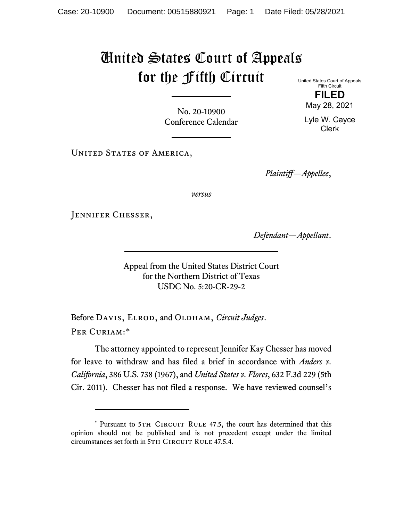## United States Court of Appeals for the Fifth Circuit

United States Court of Appeals Fifth Circuit **FILED**

May 28, 2021

Lyle W. Cayce Clerk

No. 20-10900 Conference Calendar

UNITED STATES OF AMERICA,

*Plaintiff—Appellee*,

*versus*

JENNIFER CHESSER,

*Defendant—Appellant*.

Appeal from the United States District Court for the Northern District of Texas USDC No. 5:20-CR-29-2

Before DAVIS, ELROD, and OLDHAM, *Circuit Judges*. Per Curiam:[\\*](#page-0-0)

The attorney appointed to represent Jennifer Kay Chesser has moved for leave to withdraw and has filed a brief in accordance with *Anders v. California*, 386 U.S. 738 (1967), and *United States v. Flores*, 632 F.3d 229 (5th Cir. 2011). Chesser has not filed a response. We have reviewed counsel's

<span id="page-0-0"></span><sup>\*</sup> Pursuant to 5TH CIRCUIT RULE 47.5, the court has determined that this opinion should not be published and is not precedent except under the limited circumstances set forth in 5TH CIRCUIT RULE 47.5.4.